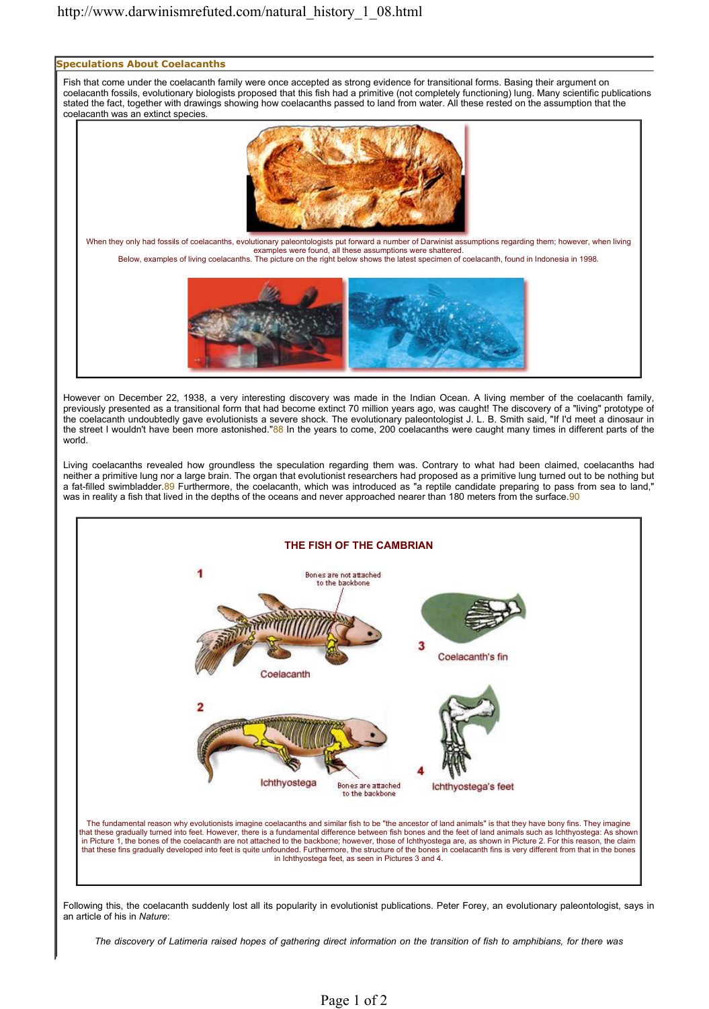

However on December 22, 1938, a very interesting discovery was made in the Indian Ocean. A living member of the coelacanth family, previously presented as a transitional form that had become extinct 70 million years ago, was caught! The discovery of a "living" prototype of the coelacanth undoubtedly gave evolutionists a severe shock. The evolutionary paleontologist J. L. B. Smith said, "If I'd meet a dinosaur in the street I wouldn't have been more astonished."88 In the years to come, 200 coelacanths were caught many times in different parts of the world.

Living coelacanths revealed how groundless the speculation regarding them was. Contrary to what had been claimed, coelacanths had neither a primitive lung nor a large brain. The organ that evolutionist researchers had proposed as a primitive lung turned out to be nothing but a fat-filled swimbladder.89 Furthermore, the coelacanth, which was introduced as "a reptile candidate preparing to pass from sea to land," was in reality a fish that lived in the depths of the oceans and never approached nearer than 180 meters from the surface.90



Following this, the coelacanth suddenly lost all its popularity in evolutionist publications. Peter Forey, an evolutionary paleontologist, says in an article of his in *Nature*:

*The discovery of Latimeria raised hopes of gathering direct information on the transition of fish to amphibians, for there was*